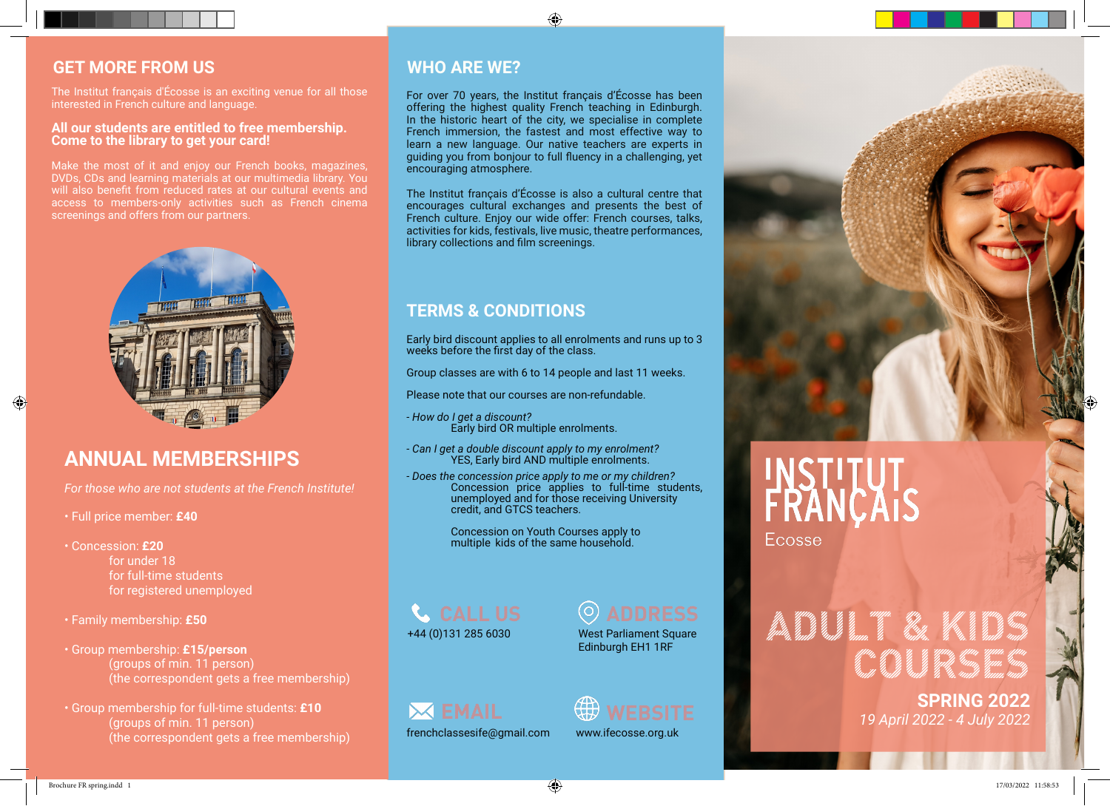#### **GET MORE FROM US**

The Institut français d'Écosse is an exciting venue for all those interested in French culture and language.

#### **All our students are entitled to free membership. Come to the library to get your card!**

Make the most of it and enjoy our French books, magazines, DVDs, CDs and learning materials at our multimedia library. You screenings and offers from our partners.



### **ANNUAL MEMBERSHIPS**

*For those who are not students at the French Institute!*

- Full price member: **£40**
- Concession: **£20** for under 18 for full-time students for registered unemployed
- Family membership: **£50**
- Group membership: **£15/person**  (groups of min. 11 person) (the correspondent gets a free membership)
- Group membership for full-time students: **£10**  (groups of min. 11 person) (the correspondent gets a free membership)

#### **WHO ARE WE?**

For over 70 years, the Institut français d'Écosse has been offering the highest quality French teaching in Edinburgh. In the historic heart of the city, we specialise in complete French immersion, the fastest and most effective way to learn a new language. Our native teachers are experts in guiding you from bonjour to full fluency in a challenging, yet encouraging atmosphere.

⊕

The Institut français d'Écosse is also a cultural centre that encourages cultural exchanges and presents the best of French culture. Enjoy our wide offer: French courses, talks, activities for kids, festivals, live music, theatre performances, library collections and film screenings.

#### **TERMS & CONDITIONS**

Early bird discount applies to all enrolments and runs up to 3 weeks before the first day of the class.

Group classes are with 6 to 14 people and last 11 weeks.

Please note that our courses are non-refundable.

*- How do I get a discount?*  Early bird OR multiple enrolments.

*- Can I get a double discount apply to my enrolment?*  YES, Early bird AND multiple enrolments.

*- Does the concession price apply to me or my children?* Concession price applies to full-time students, unemployed and for those receiving University credit, and GTCS teachers.

> Concession on Youth Courses apply to multiple kids of the same household.

**CALL US** +44 (0)131 285 6030

West Parliament Square Edinburgh EH1 1RF





www.ifecosse.org.uk



# FRANCAI

**Ecosse** 

# **ADULT & KIDS** <sup>COUR</sup>SES IN THE REAL PROPERTY AND REAL PROPERTY.<br>High more string to the string of the string the string times

**SPRING 2022**  *19 April 2022 - 4 July 2022*